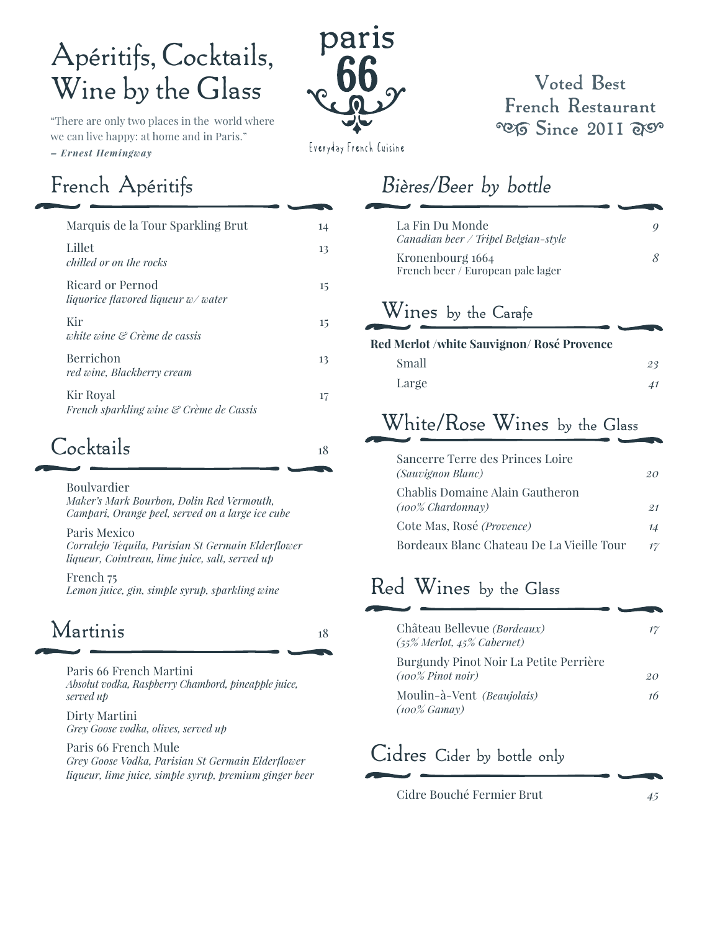# Apéritifs, Cocktails, Wine by the Glass

"There are only two places in the world where we can live happy: at home and in Paris."

*– Ernest Hemingway*

# paris

#### **Voted Best French Restaurant POIS Since 2011 args**

Everyday French Cuisine

# French Apéritifs

| Marquis de la Tour Sparkling Brut                             |  |
|---------------------------------------------------------------|--|
| Lillet<br>chilled or on the rocks                             |  |
| <b>Ricard or Pernod</b><br>liquorice flavored liqueur w/water |  |
| Kir<br>white wine & Crème de cassis                           |  |
| Berrichon<br>red wine, Blackberry cream                       |  |
| Kir Royal<br>French sparkling wine & Crème de Cassis          |  |

# $C$ ocktails  $18$

Boulvardier

 *Maker's Mark Bourbon, Dolin Red Vermouth, Campari, Orange peel, served on a large ice cube*

 Paris Mexico *Corralejo Tequila, Parisian St Germain Elderflower liqueur, Cointreau, lime juice, salt, served up*

 French 75 *Lemon juice, gin, simple syrup, sparkling wine*

# Martinis <sup>18</sup>

Paris 66 French Martini  *Absolut vodka, Raspberry Chambord, pineapple juice, served up*

 Dirty Martini *Grey Goose vodka, olives, served up*

Paris 66 French Mule *Grey Goose Vodka, Parisian St Germain Elderflower liqueur, lime juice, simple syrup, premium ginger beer*

# Bières/Beer by bottle

| La Fin Du Monde<br>Canadian beer / Tripel Belgian-style |  |
|---------------------------------------------------------|--|
| Kronenbourg 1664<br>French beer / European pale lager   |  |
| $\mathbf{V}$                                            |  |

#### Wines by the Carafe

| Red Merlot /white Sauvignon/ Rosé Provence |    |
|--------------------------------------------|----|
| Small                                      | 23 |
| Large                                      | 41 |

# White/Rose Wines by the Glass

| Sancerre Terre des Princes Loire<br>(Sauvignon Blanc)   | 20   |
|---------------------------------------------------------|------|
| Chablis Domaine Alain Gautheron<br>$(100\%$ Chardonnay) | -9.1 |
| Cote Mas, Rosé (Provence)                               | 14   |
| Bordeaux Blanc Chateau De La Vieille Tour               | 17   |

# Red Wines by the Glass

| Château Bellevue (Bordeaux)<br>$(55\%$ Merlot, $45\%$ Cabernet)    | 17 |
|--------------------------------------------------------------------|----|
| Burgundy Pinot Noir La Petite Perrière<br>$(100\% \; P$ inot noir) | 20 |
| Moulin-à-Vent (Beaujolais)<br>$(100\% \text{ Gamay})$              | 16 |

# Cidres Cider by bottle only

Cidre Bouché Fermier Brut *45*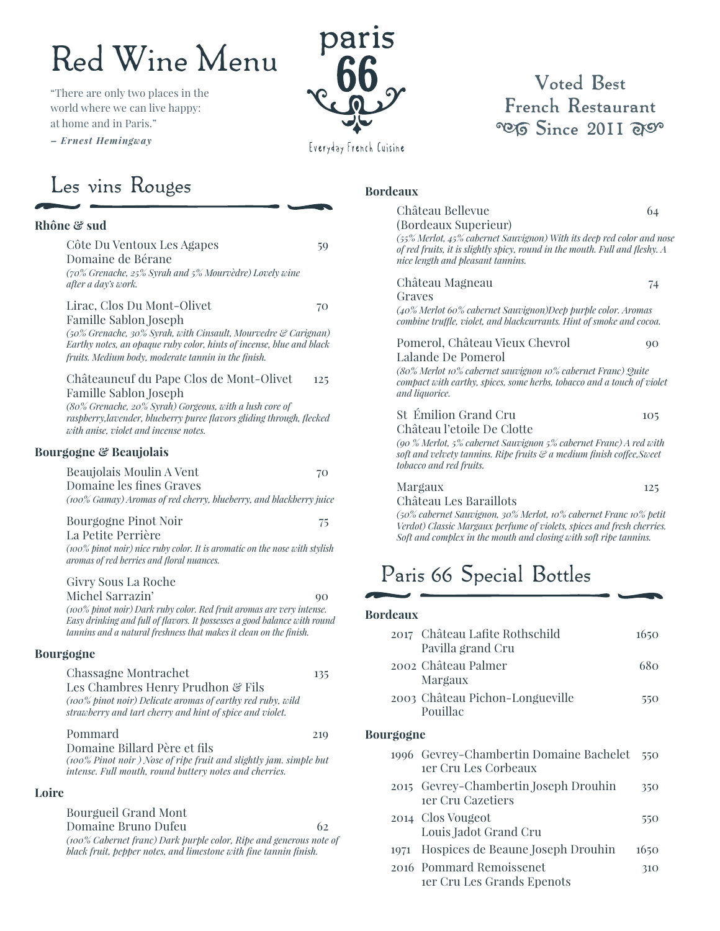# Red Wine Menu

"There are only two places in the world where we can live happy: at home and in Paris." *– Ernest Hemingway*



#### **Voted Best French Restaurant POG Since 2011 ago**

Everyday French Cuisine

## Les vins Rouges

#### **Rhône & sud**

Côte Du Ventoux Les Agapes 59 Domaine de Bérane *(70% Grenache, 25% Syrah and 5% Mourvèdre) Lovely wine after a day's work.* Lirac, Clos Du Mont-Olivet 70 Famille Sablon Joseph *(50% Grenache, 30% Syrah, with Cinsault, Mourvedre & Carignan) Earthy notes, an opaque ruby color, hints of incense, blue and black fruits. Medium body, moderate tannin in the finish.* Châteauneuf du Pape Clos de Mont-Olivet 125 Famille Sablon Joseph *(80% Grenache, 20% Syrah) Gorgeous, with a lush core of raspberry,lavender, blueberry puree flavors gliding through, flecked with anise, violet and incense notes.* **Bourgogne & Beaujolais** Beaujolais Moulin A Vent 70 Domaine les fines Graves *(100% Gamay) Aromas of red cherry, blueberry, and blackberry juice* Bourgogne Pinot Noir 75 La Petite Perrière *(100% pinot noir) nice ruby color. It is aromatic on the nose with stylish aromas of red berries and floral nuances.* Givry Sous La Roche Michel Sarrazin' 90 *(100% pinot noir) Dark ruby color. Red fruit aromas are very intense. Easy drinking and full of flavors. It possesses a good balance with round tannins and a natural freshness that makes it clean on the finish.* **Bourgogne** Chassagne Montrachet 135 Les Chambres Henry Prudhon & Fils *(100% pinot noir) Delicate aromas of earthy red ruby, wild strawberry and tart cherry and hint of spice and violet.* Pommard 219 Domaine Billard Père et fils *(100% Pinot noir ) Nose of ripe fruit and slightly jam. simple but intense. Full mouth, round buttery notes and cherries.* **Loire** Bourgueil Grand Mont

> Domaine Bruno Dufeu 62 *(100% Cabernet franc) Dark purple color, Ripe and generous note of black fruit, pepper notes, and limestone with fine tannin finish.*

#### **Bordeaux**

| Château Bellevue                                                                                                                                                                                                  | 64  |
|-------------------------------------------------------------------------------------------------------------------------------------------------------------------------------------------------------------------|-----|
| (Bordeaux Superieur)<br>(55% Merlot, 45% cabernet Sauvignon) With its deep red color and nose<br>of red fruits, it is slightly spicy, round in the mouth. Full and fleshy. A<br>nice length and pleasant tannins. |     |
| Château Magneau<br>Graves                                                                                                                                                                                         | 74  |
| (40% Merlot 60% cabernet Sauvignon)Deep purple color. Aromas<br>combine truffle, violet, and blackcurrants. Hint of smoke and cocoa.                                                                              |     |
| Pomerol, Château Vieux Chevrol<br>Lalande De Pomerol                                                                                                                                                              | 90  |
| (80% Merlot 10% cabernet sauvignon 10% cabernet Franc) Quite<br>compact with earthy, spices, some herbs, tobacco and a touch of violet<br>and liquorice.                                                          |     |
| St Émilion Grand Cru<br>Château l'etoile De Clotte                                                                                                                                                                | 105 |
| (90 % Merlot, 5% cabernet Sauvignon 5% cabernet Franc) A red with<br>soft and velvety tannins. Ripe fruits & a medium finish coffee, Sweet<br>tobacco and red fruits.                                             |     |
| Margaux<br>Château Les Baraillots                                                                                                                                                                                 | 125 |

 *(50% cabernet Sauvignon, 30% Merlot, 10% cabernet Franc 10% petit Verdot) Classic Margaux perfume of violets, spices and fresh cherries. Soft and complex in the mouth and closing with soft ripe tannins.*

# Paris 66 Special Bottles

#### **Bordeaux**

**Bo** 

|           | 2017 Château Lafite Rothschild<br>Pavilla grand Cru             | 1650 |
|-----------|-----------------------------------------------------------------|------|
|           | 2002. Château Palmer<br>Margaux                                 | 680  |
|           | 2003 Château Pichon-Longueville<br>Pouillac                     | 550  |
| Bourgogne |                                                                 |      |
|           | 1996 Gevrey-Chambertin Domaine Bachelet<br>ter Cru Les Corbeaux | 550  |
|           | 2015 Gevrey-Chambertin Joseph Drouhin<br>ter Cru Cazetiers      | 350  |
|           | 2014 Clos Vougeot<br>Louis Jadot Grand Cru                      | 550  |
|           | 1971 Hospices de Beaune Joseph Drouhin                          | 1650 |
|           | 2016 Pommard Remoissenet<br>ter Cru Les Grands Epenots          | 310  |